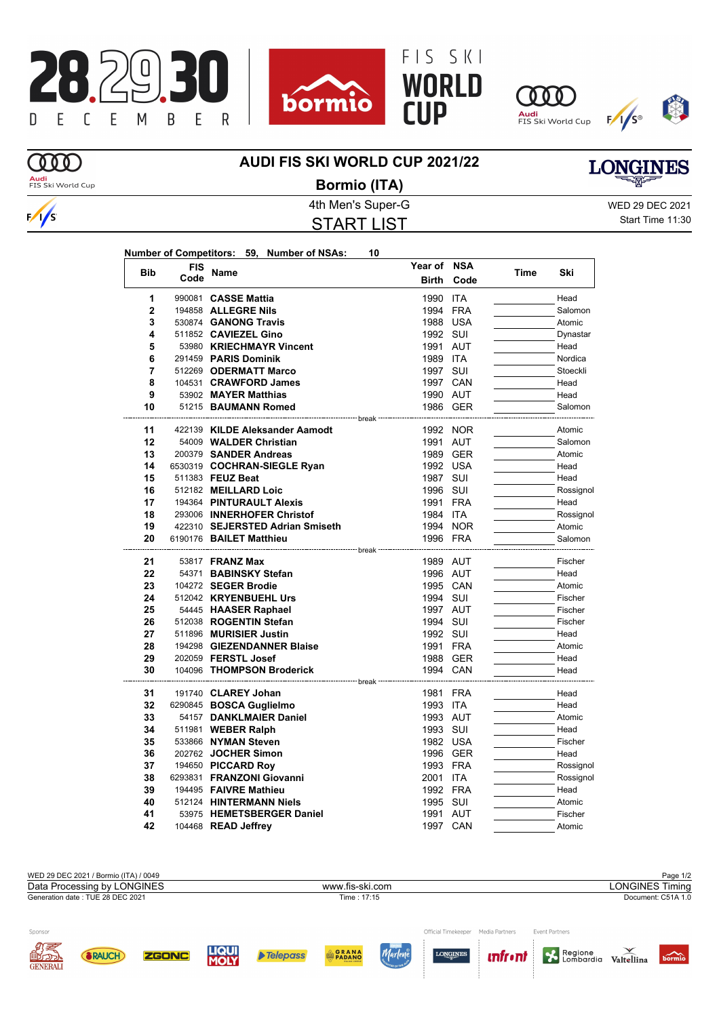









**MD** 

## **AUDI FIS SKI WORLD CUP 2021/22**



 $\frac{1}{s}$ 

## 4th Men's Super-G WED 29 DEC 2021 START LIST **Bormio (ITA)**

Start Time 11:30

**LONGINES** 

| <b>Bib</b>     | <b>FIS</b> | <b>Name</b>                                         | Year of NSA           |            | Time |           |
|----------------|------------|-----------------------------------------------------|-----------------------|------------|------|-----------|
|                | Code       |                                                     | <b>Birth</b>          | Code       |      | Ski       |
| 1              |            | 990081 CASSE Mattia                                 | 1990 ITA              |            |      | Head      |
| $\overline{2}$ |            | 194858 ALLEGRE Nils                                 | 1994                  | <b>FRA</b> |      | Salomon   |
| 3              |            | 530874 GANONG Travis                                | 1988 USA              |            |      | Atomic    |
| 4              |            | 511852 CAVIEZEL Gino                                | 1992 SUI              |            |      | Dynastar  |
| 5              |            | 53980 KRIECHMAYR Vincent                            | 1991                  | AUT        |      | Head      |
| 6              |            | 291459 PARIS Dominik                                | 1989 ITA              |            |      | Nordica   |
| 7              |            | 512269 ODERMATT Marco                               | 1997 SUI              |            |      | Stoeckli  |
| 8              |            | 104531 CRAWFORD James                               | 1997 CAN              |            |      | Head      |
| 9              |            | 53902 MAYER Matthias                                | 1990 AUT              |            |      | Head      |
| 10             |            | 51215 BAUMANN Romed                                 |                       | 1986 GER   |      | Salomon   |
| 11             |            | ----------- break<br>422139 KILDE Aleksander Aamodt |                       | 1992 NOR   |      | Atomic    |
| 12             |            | 54009 WALDER Christian                              | 1991 AUT              |            |      | Salomon   |
| 13             |            | 200379 SANDER Andreas                               |                       | 1989 GER   |      | Atomic    |
| 14             |            | 6530319 COCHRAN-SIEGLE Ryan                         | 1992 USA              |            |      | Head      |
| 15             |            | 511383 FEUZ Beat                                    | 1987 SUI              |            |      | Head      |
| 16             |            | 512182 MEILLARD Loic                                | 1996 SUI              |            |      | Rossignol |
| 17             |            | 194364 PINTURAULT Alexis                            | 1991 FRA              |            |      | Head      |
| 18             |            | 293006 INNERHOFER Christof                          | 1984 ITA              |            |      | Rossignol |
| 19             |            | 422310 SEJERSTED Adrian Smiseth                     |                       | 1994 NOR   |      | Atomic    |
| 20             |            | 6190176 BAILET Matthieu                             | 1996 FRA              |            |      | Salomon   |
| 21             |            | 53817 <b>FRANZ Max</b>                              | - break -<br>1989 AUT |            |      | Fischer   |
| 22             |            | 54371 BABINSKY Stefan                               | 1996 AUT              |            |      | Head      |
| 23             |            | 104272 SEGER Brodie                                 | 1995 CAN              |            |      | Atomic    |
| 24             |            | 512042 KRYENBUEHL Urs                               | 1994 SUI              |            |      | Fischer   |
| 25             |            | 54445 HAASER Raphael                                | 1997 AUT              |            |      | Fischer   |
| 26             |            | 512038 ROGENTIN Stefan                              | 1994 SUI              |            |      | Fischer   |
| 27             |            | 511896 MURISIER Justin                              | 1992 SUI              |            |      | Head      |
| 28             |            | 194298 GIEZENDANNER Blaise                          | 1991 FRA              |            |      | Atomic    |
| 29             |            | 202059 FERSTL Josef                                 |                       | 1988 GER   |      | Head      |
| 30             |            | 104096 THOMPSON Broderick                           | 1994 CAN<br>break     |            |      | Head      |
| 31             |            | 191740 CLAREY Johan                                 | 1981 FRA              |            |      | Head      |
| 32             |            | 6290845 BOSCA Guglielmo                             | 1993 ITA              |            |      | Head      |
| 33             |            | 54157 DANKLMAIER Daniel                             | 1993 AUT              |            |      | Atomic    |
| 34             |            | 511981 WEBER Ralph                                  | 1993 SUI              |            |      | Head      |
| 35             |            | 533866 NYMAN Steven                                 | 1982 USA              |            |      | Fischer   |
| 36             |            | 202762 JOCHER Simon                                 | 1996 GER              |            |      | Head      |
| 37             |            | 194650 PICCARD Roy                                  | 1993 FRA              |            |      | Rossignol |
| 38             |            | 6293831 FRANZONI Giovanni                           | 2001 ITA              |            |      | Rossignol |
| 39             |            | 194495 FAIVRE Mathieu                               | 1992 FRA              |            |      | Head      |
| 40             |            | 512124 HINTERMANN Niels                             | 1995 SUI              |            |      | Atomic    |
| 41             |            | 53975 HEMETSBERGER Daniel                           | 1991 AUT              |            |      | Fischer   |
| 42             |            | 104468 READ Jeffrey                                 | 1997 CAN              |            |      | Atomic    |

WED 29 DEC 2021 / Bormio (ITA) / 0049<br>
Data Processing by LONGINES **Page 1/2**<br>
WWW.fis-ski.com **Page 1/2**<br>
WWW.fis-ski.com **Page 1/2** Data Processing by LONGINES www.fis-ski.com Generation date : TUE 28 DEC 2021 Time : 17:15 Document: C51A 1.0 Sponsor Official Timekeeper Media Partners Event Partners Regione<br>Combardia Valtellina Marlen **ZGONC ORANA** LONGINES **SRAUCH** Telepass **unfront** bormio